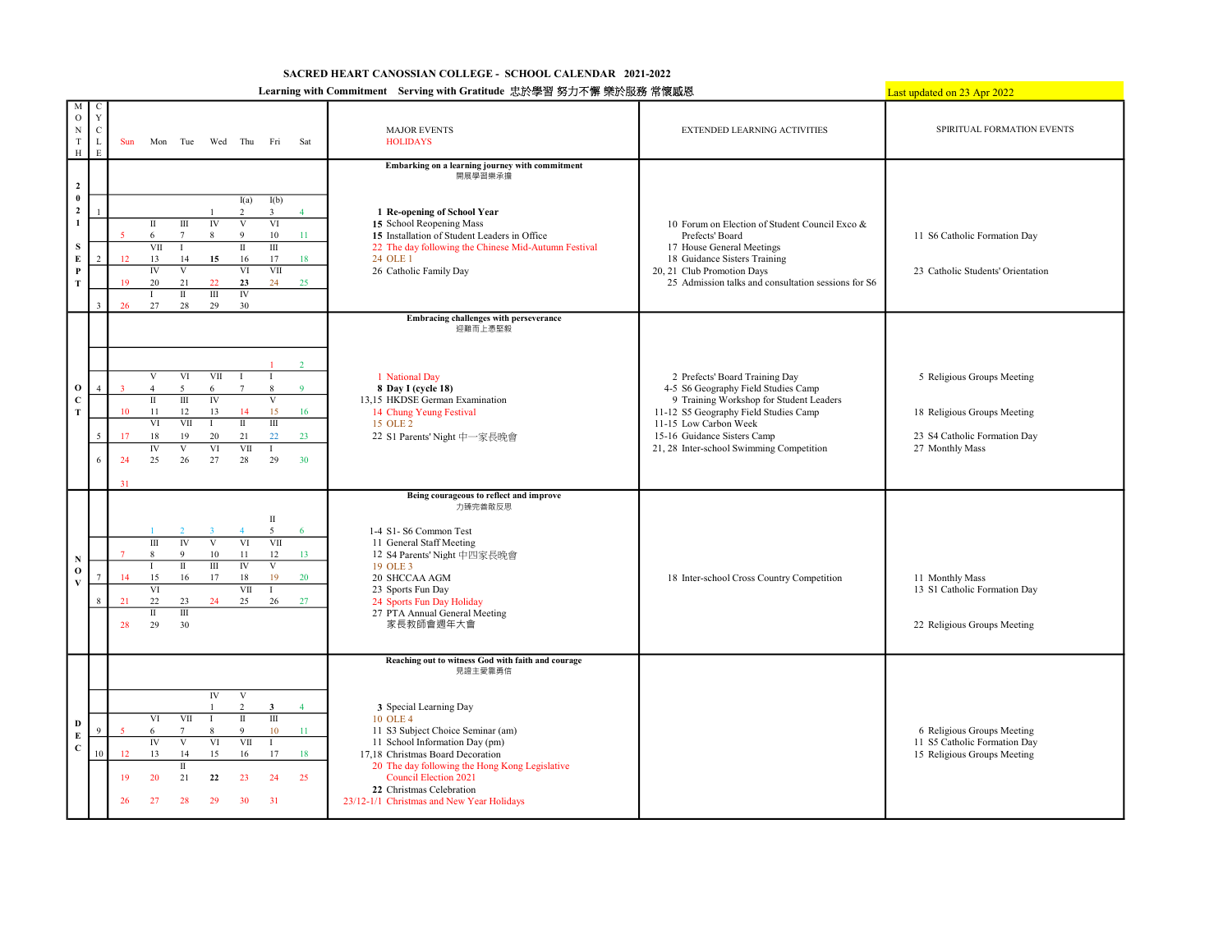## SACRED HEART CANOSSIAN COLLEGE - SCHOOL CALENDAR 2021-2022

## Learning with Commitment Serving with Gratitude 忠於學習 努力不懈 樂於服務 常懷感恩

 $t$  updated on 23 Apr 2022

|                                                                     |                                                      |                      |                                                                                                                                                                                 |                                                                                 |                                                                                |                                                                                  |                                      | Ltaining with Commitment String with Graduate 心穴字首 岁刀个饼 未状放线 市谈概念                                                                                                                                                                                                                                                                                                         |                                                                                                                                                                                                                                                               | <u>Last updated on 23 Apr 20.</u>                                                                            |
|---------------------------------------------------------------------|------------------------------------------------------|----------------------|---------------------------------------------------------------------------------------------------------------------------------------------------------------------------------|---------------------------------------------------------------------------------|--------------------------------------------------------------------------------|----------------------------------------------------------------------------------|--------------------------------------|---------------------------------------------------------------------------------------------------------------------------------------------------------------------------------------------------------------------------------------------------------------------------------------------------------------------------------------------------------------------------|---------------------------------------------------------------------------------------------------------------------------------------------------------------------------------------------------------------------------------------------------------------|--------------------------------------------------------------------------------------------------------------|
| M<br>$\circ$<br>$_{\rm N}$<br>$\mathbf T$<br>H                      | $\mathbf C$<br>Y<br>$\mathbf C$<br>$\mathbf{I}$<br>E | Sun                  | Tue<br>Mon                                                                                                                                                                      |                                                                                 | Wed Thu                                                                        | Fri                                                                              | Sat                                  | <b>MAJOR EVENTS</b><br><b>HOLIDAYS</b>                                                                                                                                                                                                                                                                                                                                    | EXTENDED LEARNING ACTIVITIES                                                                                                                                                                                                                                  | SPIRITUAL FORMATION EVENTS                                                                                   |
| $\overline{2}$<br>$\bf{0}$<br>$\mathbf{2}$<br>1<br>s<br>E<br>P<br>T | $\overline{2}$                                       | 12<br>19<br>26       | $\rm III$<br>П<br>$7\phantom{.0}$<br>6<br>VII<br>$\mathbf{I}$<br>13<br>14<br>$\overline{\mathbf{V}}$<br>${\rm IV}$<br>20<br>21<br>$\overline{\mathbf{u}}$<br>$\mathbf{I}$<br>27 | IV<br>8<br>15<br>22<br>$\scriptstyle\rm III$<br>29<br>28                        | I(a)<br>2<br>V<br>$\mathbf Q$<br>$\rm II$<br>16<br>VI<br>23<br><b>IV</b><br>30 | I(b)<br>$\overline{\mathbf{3}}$<br>VI<br>$10\,$<br>Ш<br>17<br>VII<br>24          | $\overline{4}$<br>11<br>18<br>25     | Embarking on a learning journey with commitment<br>開展學習樂承擔<br>1 Re-opening of School Year<br>15 School Reopening Mass<br>15 Installation of Student Leaders in Office<br>22 The day following the Chinese Mid-Autumn Festival<br>24 OLE 1<br>26 Catholic Family Day                                                                                                       | 10 Forum on Election of Student Council Exco &<br>Prefects' Board<br>17 House General Meetings<br>18 Guidance Sisters Training<br>20, 21 Club Promotion Days<br>25 Admission talks and consultation sessions for S6                                           | 11 S6 Catholic Formation Day<br>23 Catholic Students' Orientation                                            |
| $\mathbf{o}$<br>$\mathbf{C}$<br>$\mathbf T$                         | $\Delta$<br>-5<br>6                                  | 10<br>17<br>24<br>31 | V<br>5<br>$\Delta$<br>$\overline{\rm III}$<br>$\rm II$<br>11<br>12<br>VI<br>18<br>19<br>$\overline{IV}$<br>$\overline{\mathbf{V}}$<br>25<br>26                                  | VI<br>VII<br>6<br>$\overline{IV}$<br>13<br>VII<br>$\mathbf I$<br>20<br>VI<br>27 | $\mathbf{I}$<br>$7\phantom{.0}$<br>14<br>$\rm{II}$<br>21<br>VII<br>28          | 8<br>$\overline{\mathbf{V}}$<br>15<br>Ш<br>22<br>29                              | $\mathcal{D}$<br>9<br>16<br>23<br>30 | Embracing challenges with perseverance<br>迎難而上憑堅毅<br>1 National Day<br>8 Day I (cycle 18)<br>13,15 HKDSE German Examination<br>14 Chung Yeung Festival<br>15 OLE 2<br>22 S1 Parents' Night 中一家長晩會                                                                                                                                                                         | 2 Prefects' Board Training Day<br>4-5 S6 Geography Field Studies Camp<br>9 Training Workshop for Student Leaders<br>11-12 S5 Geography Field Studies Camp<br>11-15 Low Carbon Week<br>15-16 Guidance Sisters Camp<br>21, 28 Inter-school Swimming Competition | 5 Religious Groups Meeting<br>18 Religious Groups Meeting<br>23 S4 Catholic Formation Day<br>27 Monthly Mass |
| N<br>$\bf{0}$<br>$\overline{\mathbf{V}}$                            | 8                                                    | 14<br>21<br>28       | IV<br>$\mathop{\mathrm{III}}\nolimits$<br>$\mathbf{Q}$<br>8<br>$\scriptstyle\rm II$<br>T<br>15<br>VI<br>22<br>23<br>$\overline{m}$<br>П<br>29<br>30                             | V<br>10 <sup>°</sup><br>$\rm III$<br>16<br>17<br>24                             | VI<br>11<br>$\overline{IV}$<br>18<br>VІІ<br>25                                 | $\;$ II<br>5<br>VII<br>12<br>$\overline{\mathbf{V}}$<br>19<br>$\mathbf{I}$<br>26 | 6<br>13<br>20<br>27                  | Being courageous to reflect and improve<br>力臻完善敢反思<br>1-4 S1-S6 Common Test<br>11 General Staff Meeting<br>12 S4 Parents' Night 中四家長晩會<br>19 OLE 3<br>20 SHCCAA AGM<br>23 Sports Fun Day<br>24 Sports Fun Day Holiday<br>27 PTA Annual General Meeting<br>家長教師會週年大會                                                                                                       | 18 Inter-school Cross Country Competition                                                                                                                                                                                                                     | 11 Monthly Mass<br>13 S1 Catholic Formation Day<br>22 Religious Groups Meeting                               |
| D<br>E<br>$\mathbf{C}$                                              | 10                                                   | 12<br>19<br>26       | VI<br>$7\phantom{.0}$<br>6<br>$\overline{IV}$<br>$\overline{\mathbf{v}}$<br>13<br>14<br>П<br>20<br>21<br>27<br>28                                                               | ${\rm IV}$<br>VII<br>8<br>VI<br>15<br>22<br>29                                  | V<br>$\overline{2}$<br>$\rm II$<br>9<br>VII<br>16<br>23<br>30                  | $\overline{\mathbf{3}}$<br>$\overline{m}$<br>10<br>17<br>24<br>31                | $\overline{4}$<br>$-11$<br>18<br>25  | Reaching out to witness God with faith and courage<br>見證主愛靠勇信<br>3 Special Learning Day<br>10 OLE 4<br>11 S3 Subject Choice Seminar (am)<br>11 School Information Day (pm)<br>17,18 Christmas Board Decoration<br>20 The day following the Hong Kong Legislative<br><b>Council Election 2021</b><br>22 Christmas Celebration<br>23/12-1/1 Christmas and New Year Holidays |                                                                                                                                                                                                                                                               | 6 Religious Groups Meeting<br>11 S5 Catholic Formation Day<br>15 Religious Groups Meeting                    |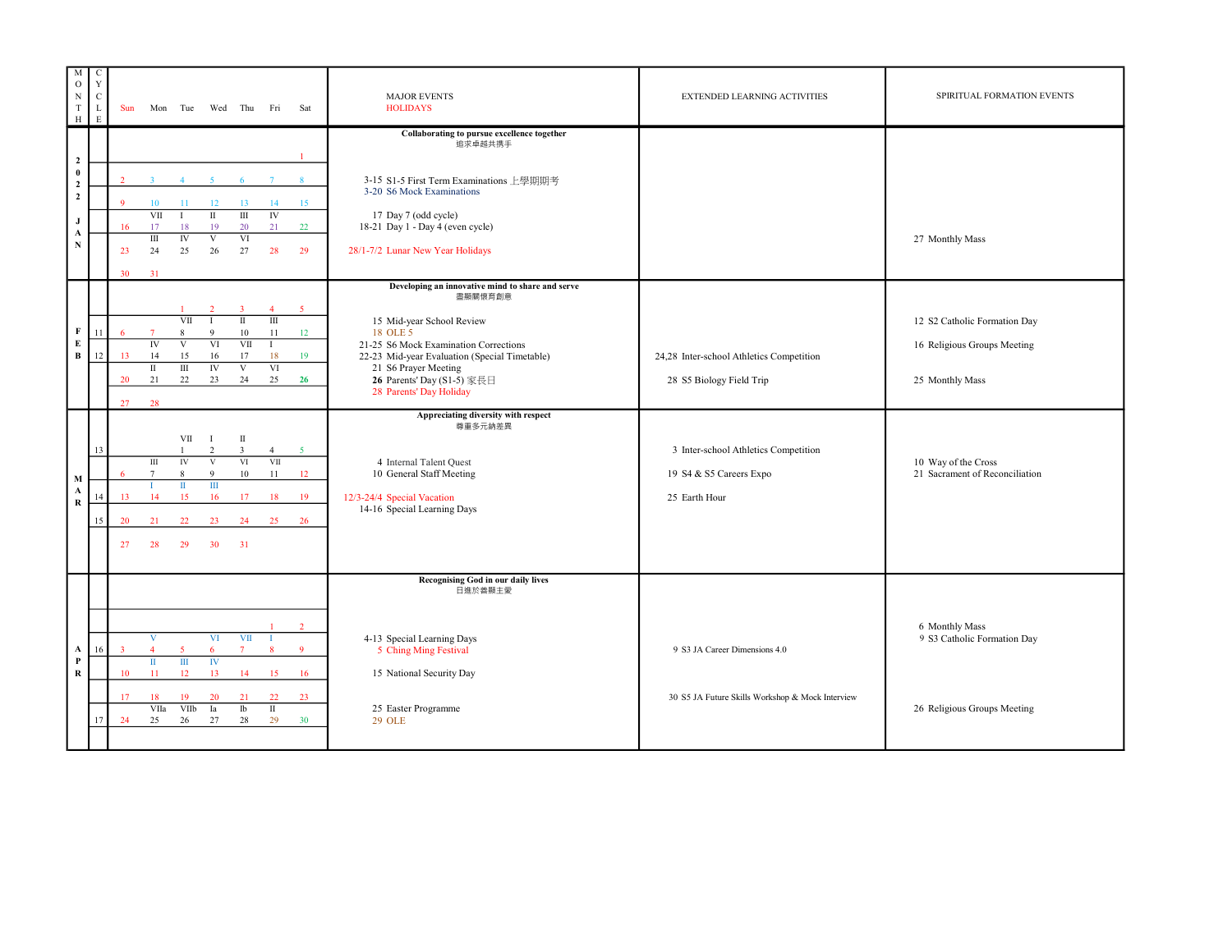| M<br>$\rm{O}$<br>$_{\rm N}$<br>$\mathbf T$<br>$\,$ H              | $\mathbf C$<br>$\mathbf Y$<br>$\mathbf C$<br>L<br>E | Sun                                             | Mon Tue                                                                 |                                                                  |                                                                                      | Wed Thu                                                   | Fri                                                         | Sat                                                | <b>MAJOR EVENTS</b><br><b>HOLIDAYS</b>                                                                                                                                                                                                                                          | <b>EXTENDED LEARNING ACTIVITIES</b>                                               | SPIRITUAL FORMATION EVENTS                                                     |
|-------------------------------------------------------------------|-----------------------------------------------------|-------------------------------------------------|-------------------------------------------------------------------------|------------------------------------------------------------------|--------------------------------------------------------------------------------------|-----------------------------------------------------------|-------------------------------------------------------------|----------------------------------------------------|---------------------------------------------------------------------------------------------------------------------------------------------------------------------------------------------------------------------------------------------------------------------------------|-----------------------------------------------------------------------------------|--------------------------------------------------------------------------------|
| $\mathbf 2$                                                       |                                                     |                                                 |                                                                         |                                                                  |                                                                                      |                                                           |                                                             |                                                    | Collaborating to pursue excellence together<br>追求卓越共携手                                                                                                                                                                                                                          |                                                                                   |                                                                                |
| $\bf{0}$<br>$\mathbf 2$<br>$\mathbf{2}$<br>$\mathbf{J}$<br>A<br>N |                                                     | $\mathcal{D}$<br>$\mathbf{Q}$<br>16<br>23<br>30 | 10<br>VII<br>17<br>Ш<br>24<br>31                                        | $\Delta$<br>11<br>$\mathbf{I}$<br>18<br>IV<br>25                 | 12<br>$\overline{\rm II}$<br>19<br>V<br>26                                           | 13<br>$\rm III$<br>20<br>VI<br>27                         | 14<br>$\overline{N}$<br>21<br>28                            | 15<br>22<br>29                                     | 3-15 S1-5 First Term Examinations 上學期期考<br>3-20 S6 Mock Examinations<br>17 Day 7 (odd cycle)<br>18-21 Day 1 - Day 4 (even cycle)<br>28/1-7/2 Lunar New Year Holidays                                                                                                            |                                                                                   | 27 Monthly Mass                                                                |
| F<br>${\bf E}$<br>B                                               | 11<br>12                                            | 6<br>13<br>20<br>27                             | $\overline{7}$<br>$_{\rm IV}$<br>14<br>$\scriptstyle\rm II$<br>21<br>28 | VII<br>8<br>$\overline{V}$<br>15<br>$\rm III$<br>22              | 9<br>VI<br>16<br>IV<br>23                                                            | $\mathbf{I}$<br>$10\,$<br>VII<br>17<br>$\mathbf{V}$<br>24 | $\overline{4}$<br>Ш<br>11<br>$\mathbf{I}$<br>18<br>VI<br>25 | 5 <sup>5</sup><br>12<br>19<br>26                   | Developing an innovative mind to share and serve<br>盡顯關懷育創意<br>15 Mid-year School Review<br>18 OLE 5<br>21-25 S6 Mock Examination Corrections<br>22-23 Mid-year Evaluation (Special Timetable)<br>21 S6 Prayer Meeting<br>26 Parents' Day (S1-5) 家長日<br>28 Parents' Day Holiday | 24,28 Inter-school Athletics Competition<br>28 S5 Biology Field Trip              | 12 S2 Catholic Formation Day<br>16 Religious Groups Meeting<br>25 Monthly Mass |
| $\mathbf M$<br>A<br>$\bf R$                                       | 13<br>14<br>15                                      | 6<br>13<br>20<br>27                             | $\rm III$<br>$7\phantom{.0}$<br>14<br>21<br>28                          | VII<br>${\rm IV}$<br>8<br>$\scriptstyle\rm II$<br>15<br>22<br>29 | $\mathbf{I}$<br>$\overline{2}$<br>$\mathbf V$<br>9<br>$\mathbb{I}$<br>16<br>23<br>30 | П<br>$\overline{3}$<br>VI<br>10<br>17<br>24<br>31         | $\overline{4}$<br>VII<br>11<br>18<br>25                     | 5 <sup>1</sup><br>12<br><sup>19</sup><br>- 26      | Appreciating diversity with respect<br>尊重多元納差異<br>4 Internal Talent Quest<br>10 General Staff Meeting<br>12/3-24/4 Special Vacation<br>14-16 Special Learning Days                                                                                                              | 3 Inter-school Athletics Competition<br>19 S4 & S5 Careers Expo<br>25 Earth Hour  | 10 Way of the Cross<br>21 Sacrament of Reconciliation                          |
| A<br>$\mathbf P$<br>$\mathbf R$                                   | 16<br>17                                            | $\overline{3}$<br>10<br>17<br>24                | $\overline{4}$<br>$\rm{II}$<br>11<br>18<br>VIIa<br>25                   | $\overline{5}$<br>$\overline{m}$<br>12<br>19<br>VIIb<br>26       | VI<br>6<br>IV<br>13<br>20<br>Ia<br>27                                                | VII<br>$\overline{7}$<br>14<br>21<br>$_{\text{lb}}$<br>28 | 15<br>22<br>$\;$ II<br>29                                   | $\overline{2}$<br>$\overline{9}$<br>16<br>23<br>30 | <b>Recognising God in our daily lives</b><br>日進於善顯主愛<br>4-13 Special Learning Days<br>5 Ching Ming Festival<br>15 National Security Day<br>25 Easter Programme<br><b>29 OLE</b>                                                                                                 | 9 S3 JA Career Dimensions 4.0<br>30 S5 JA Future Skills Workshop & Mock Interview | 6 Monthly Mass<br>9 S3 Catholic Formation Day<br>26 Religious Groups Meeting   |